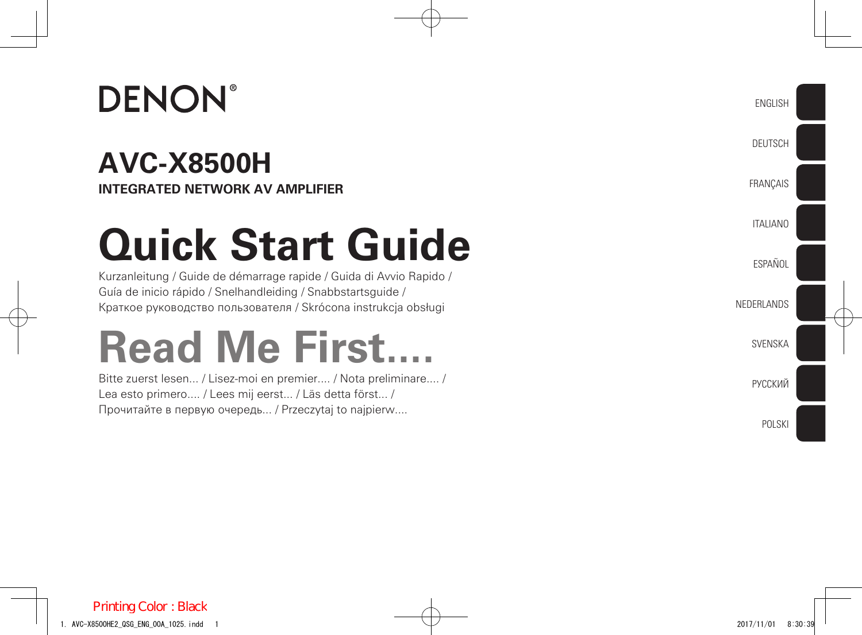# **DENON**®

## **AVC-X8500H**

#### **INTEGRATED NETWORK AV AMPLIFIER**

# **Quick Start Guide**

Kurzanleitung / Guide de démarrage rapide / Guida di Avvio Rapido / Guía de inicio rápido / Snelhandleiding / Snabbstartsguide / Краткое руководство пользователя / Skrócona instrukcja obsługi

# **Read Me First....**

Bitte zuerst lesen... / Lisez-moi en premier.... / Nota preliminare.... / Lea esto primero.... / Lees mij eerst... / Läs detta först... / Прочитайте в первую очередь... / Przeczytaj to najpierw....

DEUTSCH

ENGLISH

FRANÇAIS

ITALIANO

ESPAÑOL

NEDERLANDS

SVENSKA

РУССКИЙ

POLSKI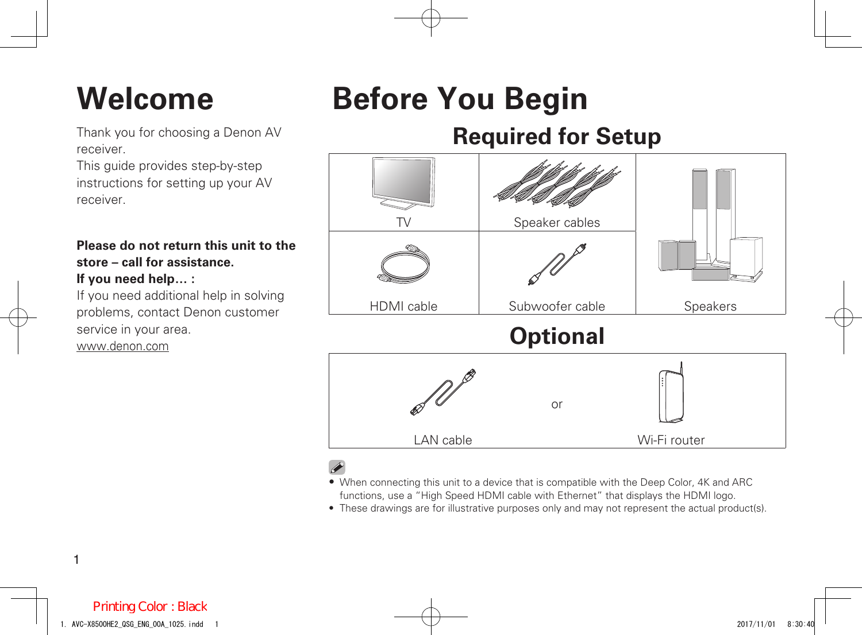# **Welcome Before You Begin**

Thank you for choosing a Denon AV receiver.

This guide provides step-by-step instructions for setting up your AV receiver.

#### **Please do not return this unit to the store – call for assistance. If you need help… :**

If you need additional help in solving problems, contact Denon customer service in your area. www.denon.com

## **Required for Setup**



- When connecting this unit to a device that is compatible with the Deep Color, 4K and ARC functions, use a "High Speed HDMI cable with Ethernet" that displays the HDMI logo.
- These drawings are for illustrative purposes only and may not represent the actual product(s).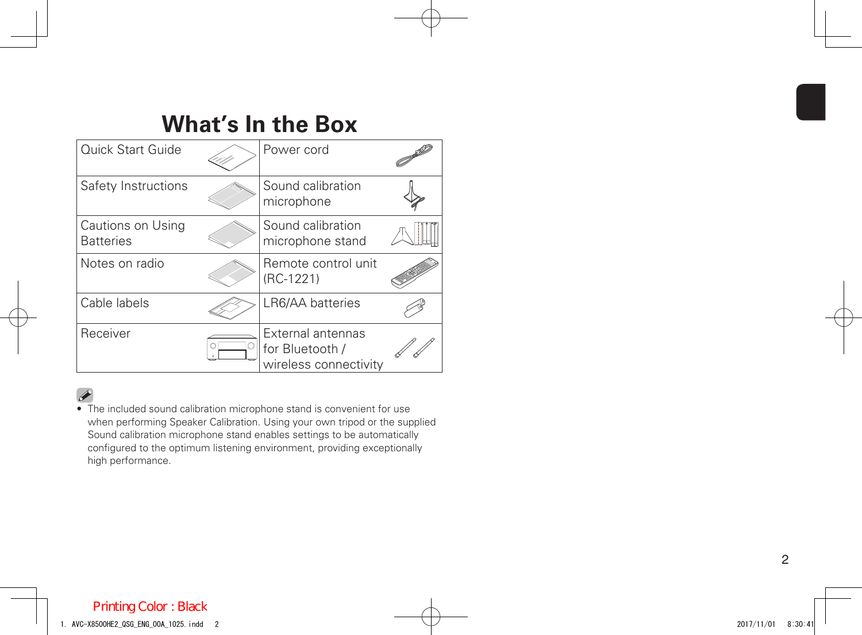

• The included sound calibration microphone stand is convenient for use when performing Speaker Calibration. Using your own tripod or the supplied Sound calibration microphone stand enables settings to be automatically configured to the optimum listening environment, providing exceptionally high performance.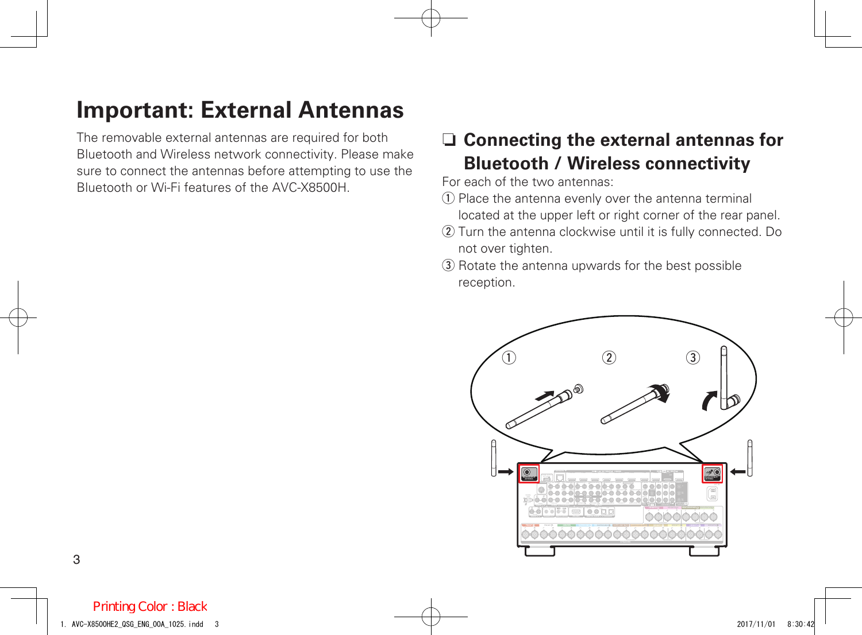## **Important: External Antennas**

The removable external antennas are required for both Bluetooth and Wireless network connectivity. Please make sure to connect the antennas before attempting to use the Bluetooth or Wi-Fi features of the AVC-X8500H.

## □ Connecting the external antennas for **Bluetooth / Wireless connectivity**

For each of the two antennas:

- $\Omega$  Place the antenna evenly over the antenna terminal located at the upper left or right corner of the rear panel.
- $(2)$  Turn the antenna clockwise until it is fully connected. Do not over tighten.
- 3 Rotate the antenna upwards for the best possible reception.

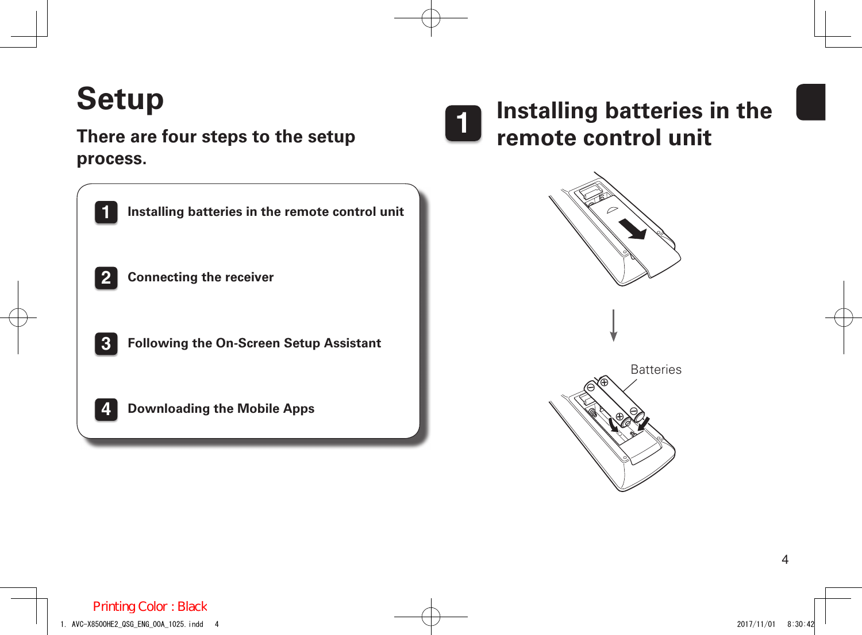# **Setup**

#### **There are four steps to the setup process.**

|   | Installing batteries in the remote control unit |
|---|-------------------------------------------------|
| 2 | <b>Connecting the receiver</b>                  |
|   | <b>Following the On-Screen Setup Assistant</b>  |
|   | <b>Downloading the Mobile Apps</b>              |



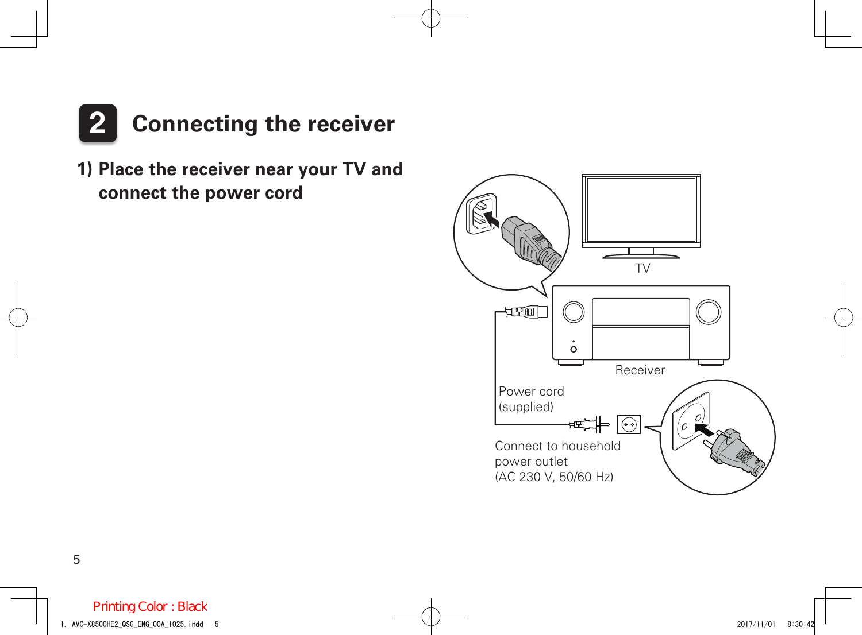

**1) Place the receiver near your TV and connect the power cord**

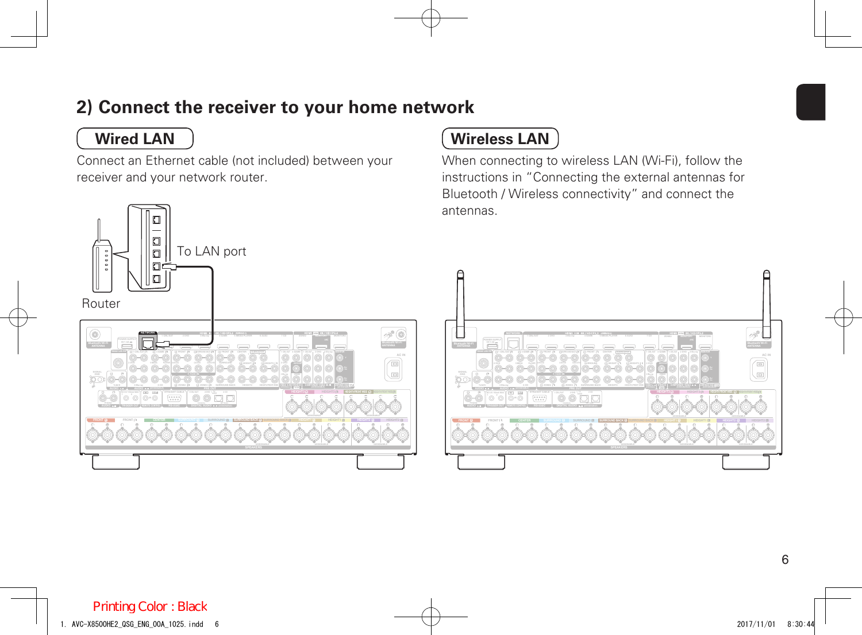### **2) Connect the receiver to your home network**

### **Wired LAN**

Connect an Ethernet cable (not included) between your receiver and your network router.



## **Wireless LAN**

When connecting to wireless LAN (Wi-Fi), follow the instructions in "Connecting the external antennas for Bluetooth / Wireless connectivity" and connect the antennas.

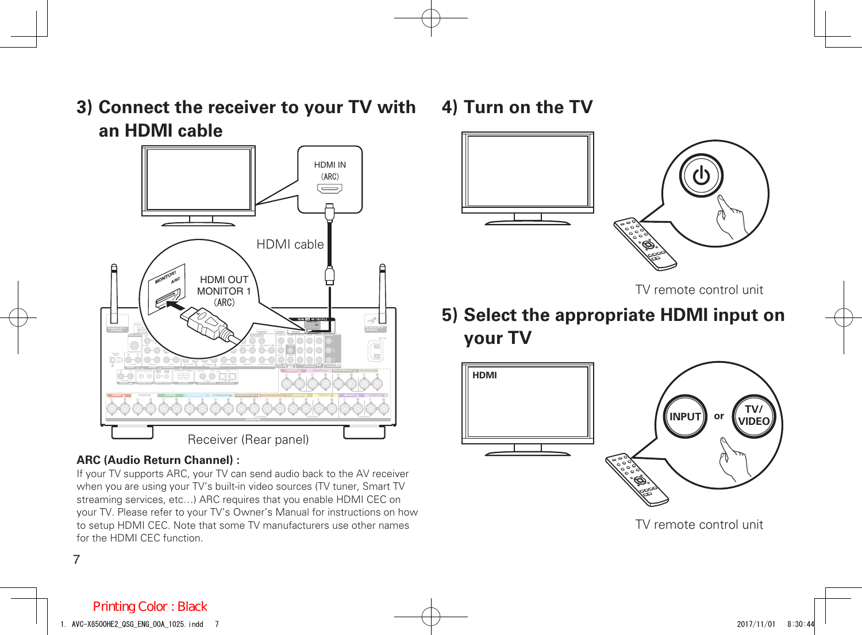



#### **ARC (Audio Return Channel) :**

If your TV supports ARC, your TV can send audio back to the AV receiver when you are using your TV's built-in video sources (TV tuner, Smart TV streaming services, etc…) ARC requires that you enable HDMI CEC on your TV. Please refer to your TV's Owner's Manual for instructions on how to setup HDMI CEC. Note that some TV manufacturers use other names for the HDMI CEC function.

#### **4) Turn on the TV**



TV remote control unit

**5) Select the appropriate HDMI input on your TV**



TV remote control unit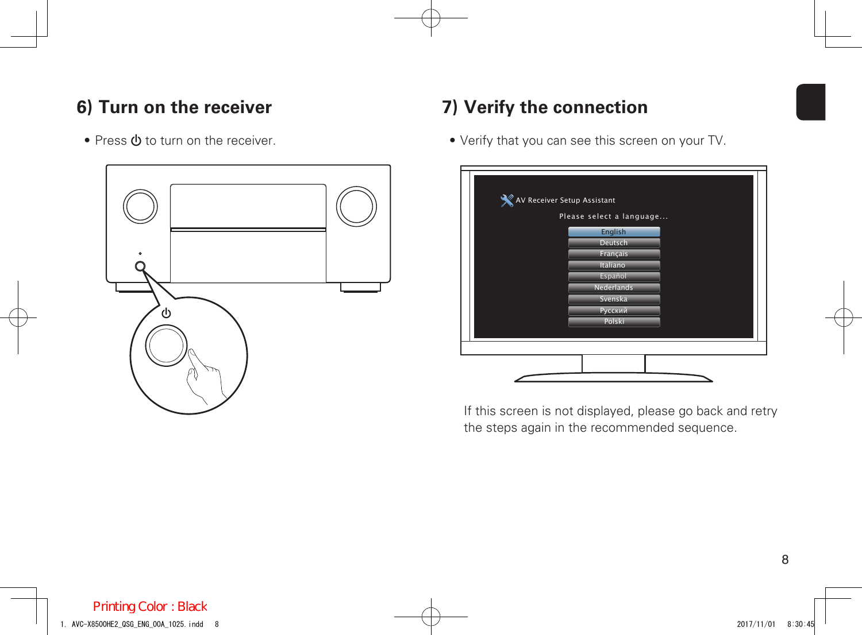## **6) Turn on the receiver**

• Press  $\Phi$  to turn on the receiver.



## **7) Verify the connection**

• Verify that you can see this screen on your TV.

| AV Receiver Setup Assistant<br>Please select a language                                                    |  |
|------------------------------------------------------------------------------------------------------------|--|
| English<br>Deutsch<br>Français<br>Italiano<br>Español<br><b>Nederlands</b><br>Svenska<br>Русский<br>Polski |  |
|                                                                                                            |  |

If this screen is not displayed, please go back and retry the steps again in the recommended sequence.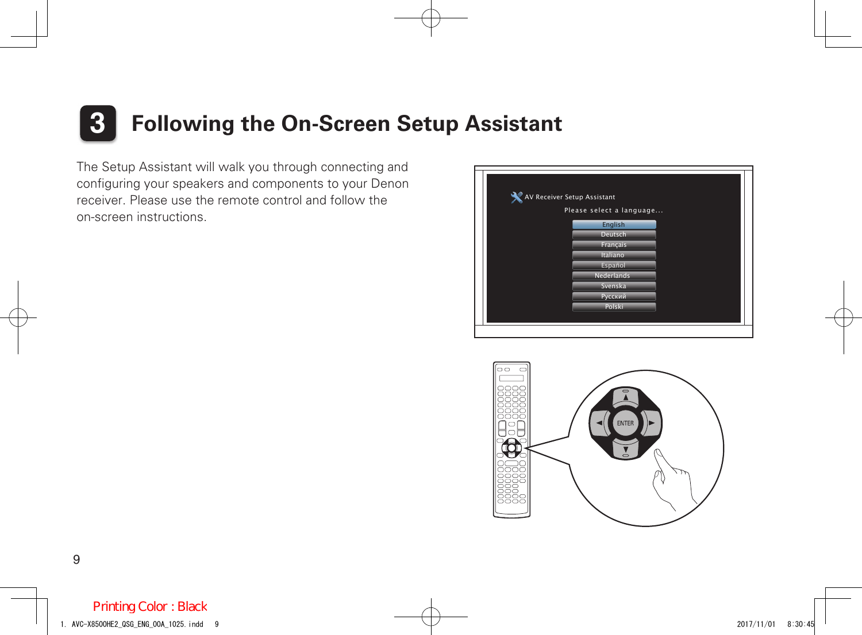## **3 Following the On-Screen Setup Assistant**

The Setup Assistant will walk you through connecting and configuring your speakers and components to your Denon receiver. Please use the remote control and follow the on-screen instructions.



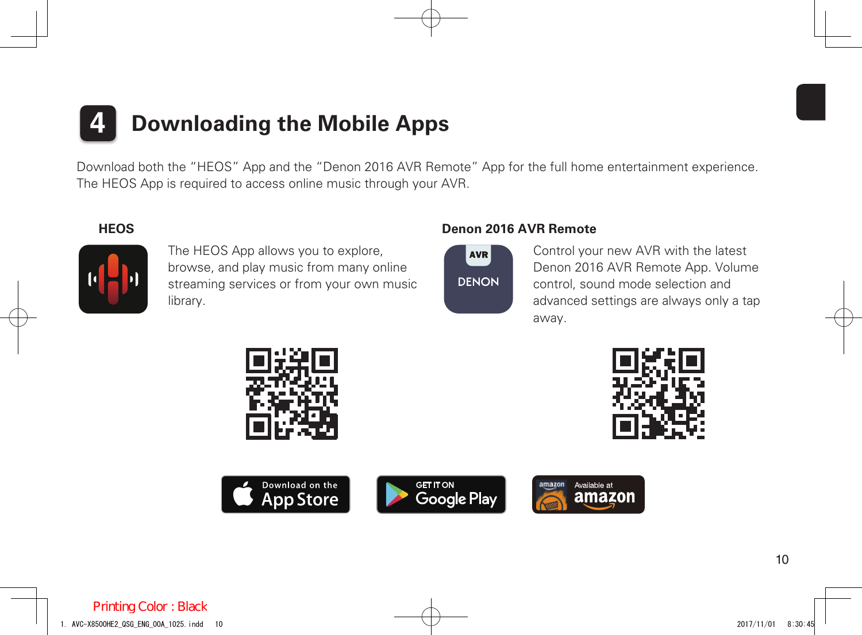## **4 Downloading the Mobile Apps**

Download both the "HEOS" App and the "Denon 2016 AVR Remote" App for the full home entertainment experience. The HEOS App is required to access online music through your AVR.

#### **HEOS**



The HEOS App allows you to explore, browse, and play music from many online streaming services or from your own music library.

#### **Denon 2016 AVR Remote**



Control your new AVR with the latest Denon 2016 AVR Remote App. Volume control, sound mode selection and advanced settings are always only a tap away.









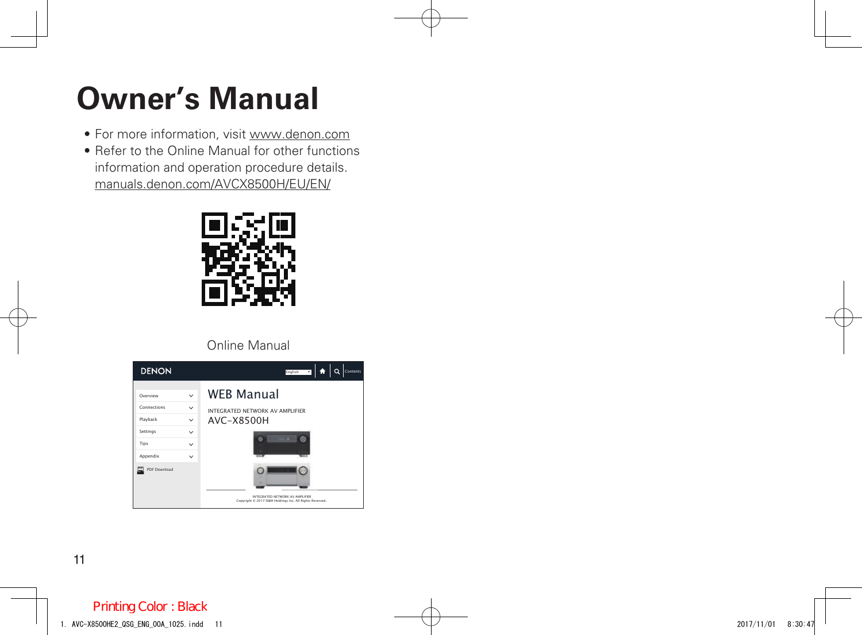# **Owner's Manual**

- For more information, visit www.denon.com
- Refer to the Online Manual for other functions information and operation procedure details. manuals.denon.com/AVCX8500H/EU/EN/



#### Online Manual

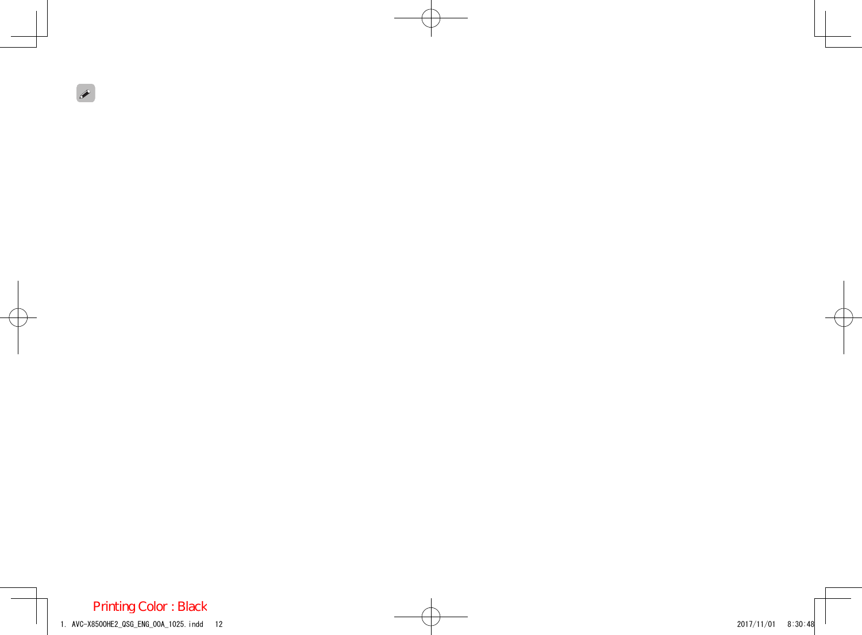$\begin{picture}(20,20) \put(0,0){\line(1,0){10}} \put(15,0){\line(1,0){10}} \put(15,0){\line(1,0){10}} \put(15,0){\line(1,0){10}} \put(15,0){\line(1,0){10}} \put(15,0){\line(1,0){10}} \put(15,0){\line(1,0){10}} \put(15,0){\line(1,0){10}} \put(15,0){\line(1,0){10}} \put(15,0){\line(1,0){10}} \put(15,0){\line(1,0){10}} \put(15,0){\line(1$